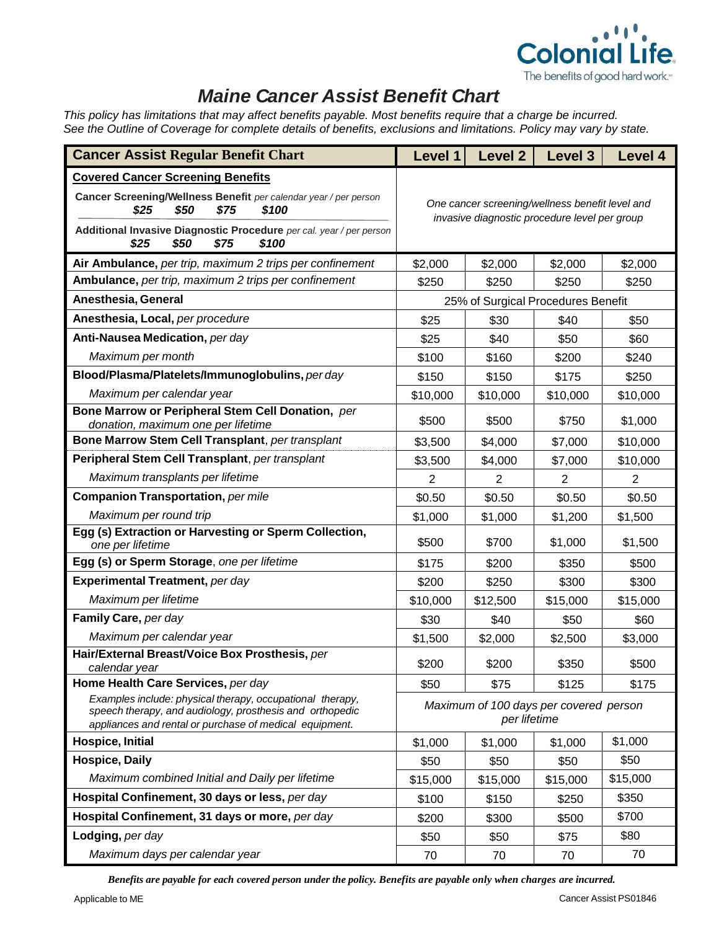

## *Maine Cancer Assist Benefit Chart*

*This policy has limitations that may affect benefits payable. Most benefits require that a charge be incurred. See the Outline of Coverage for complete details of benefits, exclusions and limitations. Policy may vary by state.*

| <b>Cancer Assist Regular Benefit Chart</b>                                                                                                                                       | Level 1                                                                                          | <b>Level 2</b> | Level 3        | Level 4  |  |
|----------------------------------------------------------------------------------------------------------------------------------------------------------------------------------|--------------------------------------------------------------------------------------------------|----------------|----------------|----------|--|
| <b>Covered Cancer Screening Benefits</b>                                                                                                                                         |                                                                                                  |                |                |          |  |
| Cancer Screening/Wellness Benefit per calendar year / per person<br>\$25<br>\$50<br>\$75<br>\$100                                                                                | One cancer screening/wellness benefit level and<br>invasive diagnostic procedure level per group |                |                |          |  |
| Additional Invasive Diagnostic Procedure per cal. year / per person<br>\$50<br>\$75<br>\$100<br>\$25                                                                             |                                                                                                  |                |                |          |  |
| Air Ambulance, per trip, maximum 2 trips per confinement                                                                                                                         | \$2,000                                                                                          | \$2,000        | \$2,000        | \$2,000  |  |
| Ambulance, per trip, maximum 2 trips per confinement                                                                                                                             | \$250                                                                                            | \$250          | \$250          | \$250    |  |
| Anesthesia, General                                                                                                                                                              | 25% of Surgical Procedures Benefit                                                               |                |                |          |  |
| Anesthesia, Local, per procedure                                                                                                                                                 | \$25                                                                                             | \$30           | \$40           | \$50     |  |
| Anti-Nausea Medication, per day                                                                                                                                                  | \$25                                                                                             | \$40           | \$50           | \$60     |  |
| Maximum per month                                                                                                                                                                | \$100                                                                                            | \$160          | \$200          | \$240    |  |
| Blood/Plasma/Platelets/Immunoglobulins, per day                                                                                                                                  | \$150                                                                                            | \$150          | \$175          | \$250    |  |
| Maximum per calendar year                                                                                                                                                        | \$10,000                                                                                         | \$10,000       | \$10,000       | \$10,000 |  |
| Bone Marrow or Peripheral Stem Cell Donation, per<br>donation, maximum one per lifetime                                                                                          | \$500                                                                                            | \$500          | \$750          | \$1,000  |  |
| Bone Marrow Stem Cell Transplant, per transplant                                                                                                                                 | \$3,500                                                                                          | \$4,000        | \$7,000        | \$10,000 |  |
| Peripheral Stem Cell Transplant, per transplant                                                                                                                                  | \$3,500                                                                                          | \$4,000        | \$7,000        | \$10,000 |  |
| Maximum transplants per lifetime                                                                                                                                                 | $\overline{2}$                                                                                   | 2              | $\overline{2}$ | 2        |  |
| <b>Companion Transportation, per mile</b>                                                                                                                                        | \$0.50                                                                                           | \$0.50         | \$0.50         | \$0.50   |  |
| Maximum per round trip                                                                                                                                                           | \$1,000                                                                                          | \$1,000        | \$1,200        | \$1,500  |  |
| Egg (s) Extraction or Harvesting or Sperm Collection,<br>one per lifetime                                                                                                        | \$500                                                                                            | \$700          | \$1,000        | \$1,500  |  |
| Egg (s) or Sperm Storage, one per lifetime                                                                                                                                       | \$175                                                                                            | \$200          | \$350          | \$500    |  |
| Experimental Treatment, per day                                                                                                                                                  | \$200                                                                                            | \$250          | \$300          | \$300    |  |
| Maximum per lifetime                                                                                                                                                             | \$10,000                                                                                         | \$12,500       | \$15,000       | \$15,000 |  |
| Family Care, per day                                                                                                                                                             | \$30                                                                                             | \$40           | \$50           | \$60     |  |
| Maximum per calendar year                                                                                                                                                        | \$1,500                                                                                          | \$2,000        | \$2,500        | \$3,000  |  |
| Hair/External Breast/Voice Box Prosthesis, per<br>calendar year                                                                                                                  | \$200                                                                                            | \$200          | \$350          | \$500    |  |
| Home Health Care Services, per day                                                                                                                                               | \$50                                                                                             | \$75           | \$125          | \$175    |  |
| Examples include: physical therapy, occupational therapy,<br>speech therapy, and audiology, prosthesis and orthopedic<br>appliances and rental or purchase of medical equipment. | Maximum of 100 days per covered person<br>per lifetime                                           |                |                |          |  |
| Hospice, Initial                                                                                                                                                                 | \$1,000                                                                                          | \$1,000        | \$1,000        | \$1,000  |  |
| <b>Hospice, Daily</b>                                                                                                                                                            | \$50                                                                                             | \$50           | \$50           | \$50     |  |
| Maximum combined Initial and Daily per lifetime                                                                                                                                  | \$15,000                                                                                         | \$15,000       | \$15,000       | \$15,000 |  |
| Hospital Confinement, 30 days or less, per day                                                                                                                                   | \$100                                                                                            | \$150          | \$250          | \$350    |  |
| Hospital Confinement, 31 days or more, per day                                                                                                                                   | \$200                                                                                            | \$300          | \$500          | \$700    |  |
| Lodging, per day                                                                                                                                                                 | \$50                                                                                             | \$50           | \$75           | \$80     |  |
| Maximum days per calendar year                                                                                                                                                   | 70                                                                                               | 70             | 70             | 70       |  |

*Benefits are payable for each covered person under the policy. Benefits are payable only when charges are incurred.*